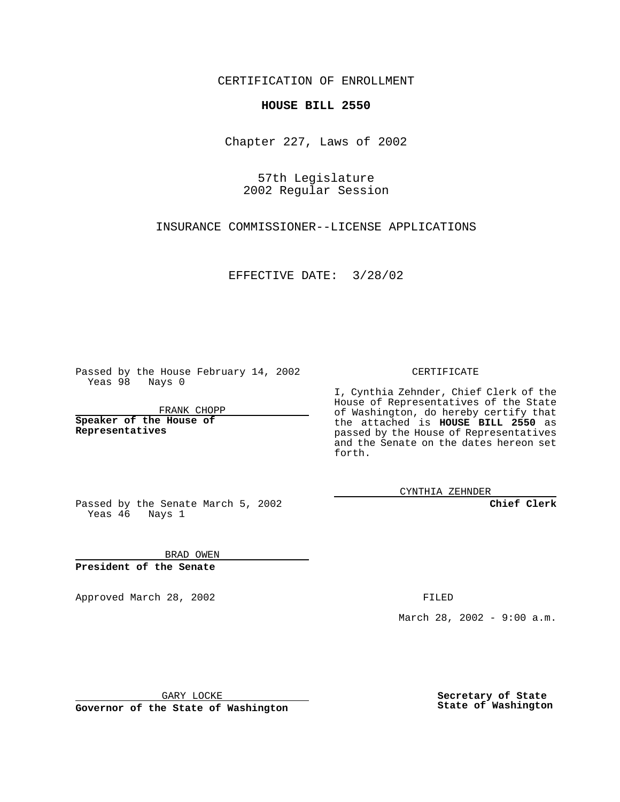CERTIFICATION OF ENROLLMENT

## **HOUSE BILL 2550**

Chapter 227, Laws of 2002

57th Legislature 2002 Regular Session

INSURANCE COMMISSIONER--LICENSE APPLICATIONS

EFFECTIVE DATE: 3/28/02

Passed by the House February 14, 2002 Yeas 98 Nays 0

FRANK CHOPP

**Speaker of the House of Representatives**

CERTIFICATE

I, Cynthia Zehnder, Chief Clerk of the House of Representatives of the State of Washington, do hereby certify that the attached is **HOUSE BILL 2550** as passed by the House of Representatives and the Senate on the dates hereon set forth.

CYNTHIA ZEHNDER

**Chief Clerk**

Passed by the Senate March 5, 2002 Yeas 46 Nays 1

BRAD OWEN **President of the Senate**

Approved March 28, 2002 **FILED** 

March 28, 2002 - 9:00 a.m.

GARY LOCKE

**Governor of the State of Washington**

**Secretary of State State of Washington**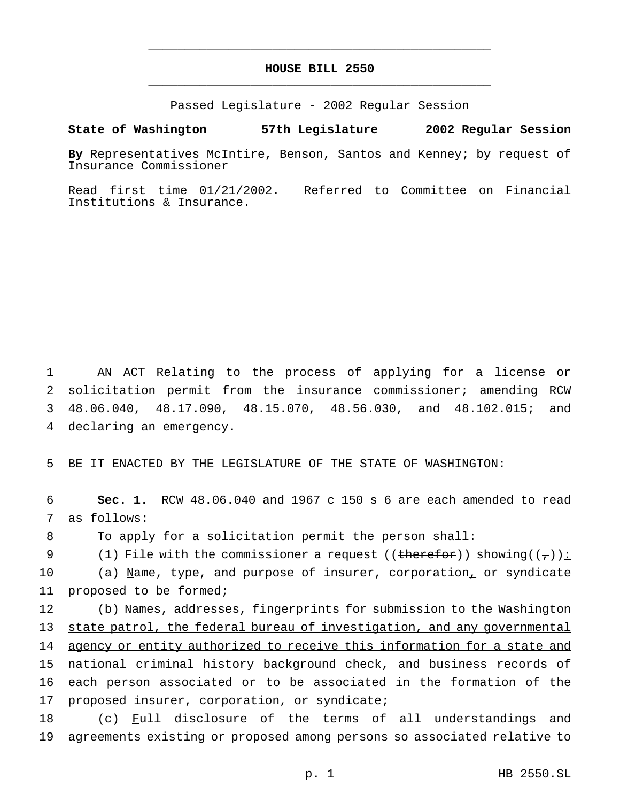## **HOUSE BILL 2550** \_\_\_\_\_\_\_\_\_\_\_\_\_\_\_\_\_\_\_\_\_\_\_\_\_\_\_\_\_\_\_\_\_\_\_\_\_\_\_\_\_\_\_\_\_\_\_

\_\_\_\_\_\_\_\_\_\_\_\_\_\_\_\_\_\_\_\_\_\_\_\_\_\_\_\_\_\_\_\_\_\_\_\_\_\_\_\_\_\_\_\_\_\_\_

Passed Legislature - 2002 Regular Session

**State of Washington 57th Legislature 2002 Regular Session**

**By** Representatives McIntire, Benson, Santos and Kenney; by request of Insurance Commissioner

Read first time 01/21/2002. Referred to Committee on Financial Institutions & Insurance.

 AN ACT Relating to the process of applying for a license or solicitation permit from the insurance commissioner; amending RCW 48.06.040, 48.17.090, 48.15.070, 48.56.030, and 48.102.015; and declaring an emergency.

5 BE IT ENACTED BY THE LEGISLATURE OF THE STATE OF WASHINGTON:

6 **Sec. 1.** RCW 48.06.040 and 1967 c 150 s 6 are each amended to read 7 as follows:

8 To apply for a solicitation permit the person shall:

9 (1) File with the commissioner a request ((therefor)) showing( $(\tau)$ ):

10 (a) Name, type, and purpose of insurer, corporation, or syndicate 11 proposed to be formed;

12 (b) Names, addresses, fingerprints for submission to the Washington 13 state patrol, the federal bureau of investigation, and any governmental 14 agency or entity authorized to receive this information for a state and 15 national criminal history background check, and business records of 16 each person associated or to be associated in the formation of the 17 proposed insurer, corporation, or syndicate;

18 (c) Full disclosure of the terms of all understandings and 19 agreements existing or proposed among persons so associated relative to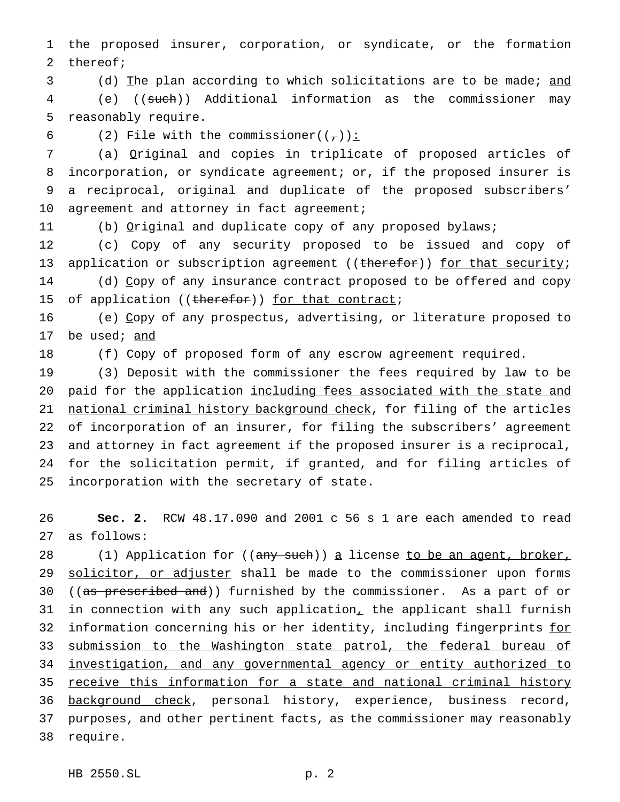1 the proposed insurer, corporation, or syndicate, or the formation 2 thereof;

3 (d) The plan according to which solicitations are to be made; and 4 (e) ((such)) Additional information as the commissioner may 5 reasonably require.

6 (2) File with the commissioner( $(\frac{\tau}{l})$ ):

 (a) Original and copies in triplicate of proposed articles of incorporation, or syndicate agreement; or, if the proposed insurer is a reciprocal, original and duplicate of the proposed subscribers' 10 agreement and attorney in fact agreement;

11 (b) Original and duplicate copy of any proposed bylaws;

12 (c) Copy of any security proposed to be issued and copy of 13 application or subscription agreement ((therefor)) for that security; 14 (d) Copy of any insurance contract proposed to be offered and copy 15 of application ((therefor)) for that contract;

16 (e) Copy of any prospectus, advertising, or literature proposed to 17 be used; and

18 (f) Copy of proposed form of any escrow agreement required.

 (3) Deposit with the commissioner the fees required by law to be 20 paid for the application including fees associated with the state and 21 national criminal history background check, for filing of the articles of incorporation of an insurer, for filing the subscribers' agreement and attorney in fact agreement if the proposed insurer is a reciprocal, for the solicitation permit, if granted, and for filing articles of incorporation with the secretary of state.

26 **Sec. 2.** RCW 48.17.090 and 2001 c 56 s 1 are each amended to read 27 as follows:

28 (1) Application for ((any such)) a license to be an agent, broker, 29 solicitor, or adjuster shall be made to the commissioner upon forms 30 ((as prescribed and)) furnished by the commissioner. As a part of or 31 in connection with any such application, the applicant shall furnish 32 information concerning his or her identity, including fingerprints for 33 submission to the Washington state patrol, the federal bureau of 34 investigation, and any governmental agency or entity authorized to 35 receive this information for a state and national criminal history 36 background check, personal history, experience, business record, 37 purposes, and other pertinent facts, as the commissioner may reasonably 38 require.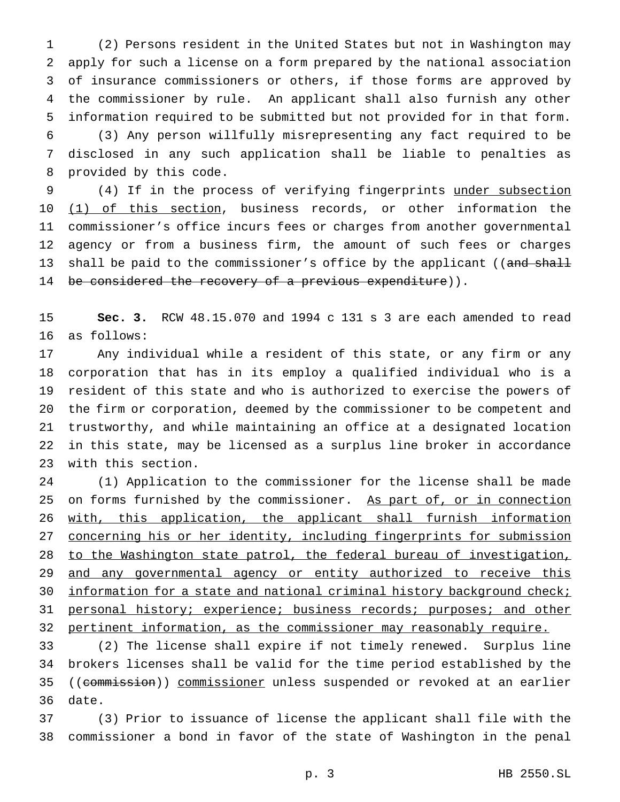(2) Persons resident in the United States but not in Washington may apply for such a license on a form prepared by the national association of insurance commissioners or others, if those forms are approved by the commissioner by rule. An applicant shall also furnish any other information required to be submitted but not provided for in that form. (3) Any person willfully misrepresenting any fact required to be disclosed in any such application shall be liable to penalties as provided by this code.

 (4) If in the process of verifying fingerprints under subsection 10 (1) of this section, business records, or other information the commissioner's office incurs fees or charges from another governmental agency or from a business firm, the amount of such fees or charges 13 shall be paid to the commissioner's office by the applicant ((and shall 14 be considered the recovery of a previous expenditure)).

 **Sec. 3.** RCW 48.15.070 and 1994 c 131 s 3 are each amended to read as follows:

 Any individual while a resident of this state, or any firm or any corporation that has in its employ a qualified individual who is a resident of this state and who is authorized to exercise the powers of the firm or corporation, deemed by the commissioner to be competent and trustworthy, and while maintaining an office at a designated location in this state, may be licensed as a surplus line broker in accordance with this section.

 (1) Application to the commissioner for the license shall be made 25 on forms furnished by the commissioner. As part of, or in connection 26 with, this application, the applicant shall furnish information 27 concerning his or her identity, including fingerprints for submission to the Washington state patrol, the federal bureau of investigation, 29 and any governmental agency or entity authorized to receive this 30 information for a state and national criminal history background check; 31 personal history; experience; business records; purposes; and other pertinent information, as the commissioner may reasonably require.

 (2) The license shall expire if not timely renewed. Surplus line brokers licenses shall be valid for the time period established by the 35 ((commission)) commissioner unless suspended or revoked at an earlier date.

 (3) Prior to issuance of license the applicant shall file with the commissioner a bond in favor of the state of Washington in the penal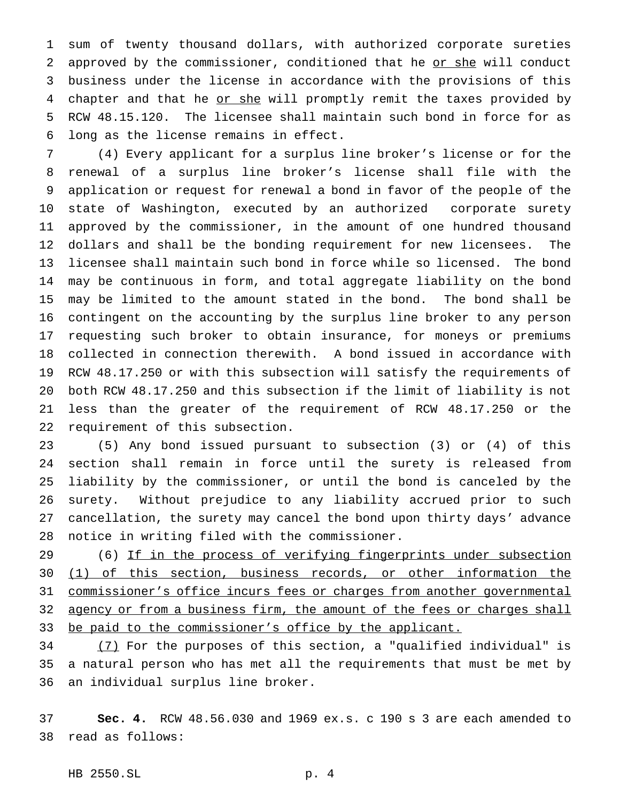sum of twenty thousand dollars, with authorized corporate sureties 2 approved by the commissioner, conditioned that he or she will conduct business under the license in accordance with the provisions of this 4 chapter and that he or she will promptly remit the taxes provided by RCW 48.15.120. The licensee shall maintain such bond in force for as long as the license remains in effect.

 (4) Every applicant for a surplus line broker's license or for the renewal of a surplus line broker's license shall file with the application or request for renewal a bond in favor of the people of the state of Washington, executed by an authorized corporate surety approved by the commissioner, in the amount of one hundred thousand dollars and shall be the bonding requirement for new licensees. The licensee shall maintain such bond in force while so licensed. The bond may be continuous in form, and total aggregate liability on the bond may be limited to the amount stated in the bond. The bond shall be contingent on the accounting by the surplus line broker to any person requesting such broker to obtain insurance, for moneys or premiums collected in connection therewith. A bond issued in accordance with RCW 48.17.250 or with this subsection will satisfy the requirements of both RCW 48.17.250 and this subsection if the limit of liability is not less than the greater of the requirement of RCW 48.17.250 or the requirement of this subsection.

 (5) Any bond issued pursuant to subsection (3) or (4) of this section shall remain in force until the surety is released from liability by the commissioner, or until the bond is canceled by the surety. Without prejudice to any liability accrued prior to such cancellation, the surety may cancel the bond upon thirty days' advance notice in writing filed with the commissioner.

29 (6) If in the process of verifying fingerprints under subsection (1) of this section, business records, or other information the commissioner's office incurs fees or charges from another governmental 32 agency or from a business firm, the amount of the fees or charges shall 33 be paid to the commissioner's office by the applicant.

 (7) For the purposes of this section, a "qualified individual" is a natural person who has met all the requirements that must be met by an individual surplus line broker.

 **Sec. 4.** RCW 48.56.030 and 1969 ex.s. c 190 s 3 are each amended to read as follows: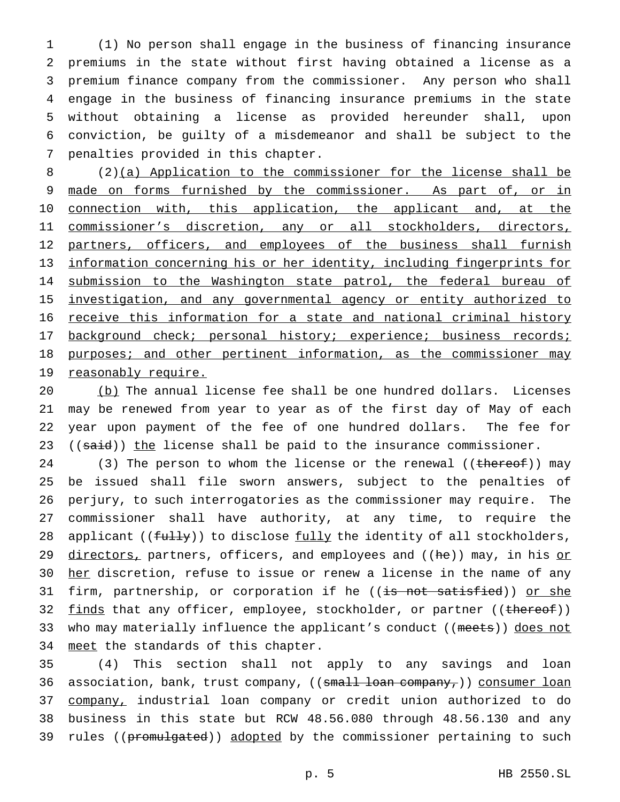(1) No person shall engage in the business of financing insurance premiums in the state without first having obtained a license as a premium finance company from the commissioner. Any person who shall engage in the business of financing insurance premiums in the state without obtaining a license as provided hereunder shall, upon conviction, be guilty of a misdemeanor and shall be subject to the penalties provided in this chapter.

8 (2)(a) Application to the commissioner for the license shall be 9 made on forms furnished by the commissioner. As part of, or in 10 connection with, this application, the applicant and, at the 11 commissioner's discretion, any or all stockholders, directors, 12 partners, officers, and employees of the business shall furnish 13 information concerning his or her identity, including fingerprints for 14 submission to the Washington state patrol, the federal bureau of 15 investigation, and any governmental agency or entity authorized to 16 receive this information for a state and national criminal history 17 background check; personal history; experience; business records; 18 purposes; and other pertinent information, as the commissioner may 19 reasonably require.

 (b) The annual license fee shall be one hundred dollars. Licenses may be renewed from year to year as of the first day of May of each year upon payment of the fee of one hundred dollars. The fee for  $((said))$  the license shall be paid to the insurance commissioner.

24 (3) The person to whom the license or the renewal ((thereof)) may 25 be issued shall file sworn answers, subject to the penalties of 26 perjury, to such interrogatories as the commissioner may require. The 27 commissioner shall have authority, at any time, to require the 28 applicant ( $(f_{\text{t}})$ ) to disclose fully the identity of all stockholders, 29 directors, partners, officers, and employees and ((he)) may, in his or 30 her discretion, refuse to issue or renew a license in the name of any 31 firm, partnership, or corporation if he ((is not satisfied)) or she 32 finds that any officer, employee, stockholder, or partner ((thereof)) 33 who may materially influence the applicant's conduct ((meets)) does not 34 meet the standards of this chapter.

35 (4) This section shall not apply to any savings and loan 36 association, bank, trust company, ((small loan company,)) consumer loan 37 company, industrial loan company or credit union authorized to do 38 business in this state but RCW 48.56.080 through 48.56.130 and any 39 rules ((promulgated)) adopted by the commissioner pertaining to such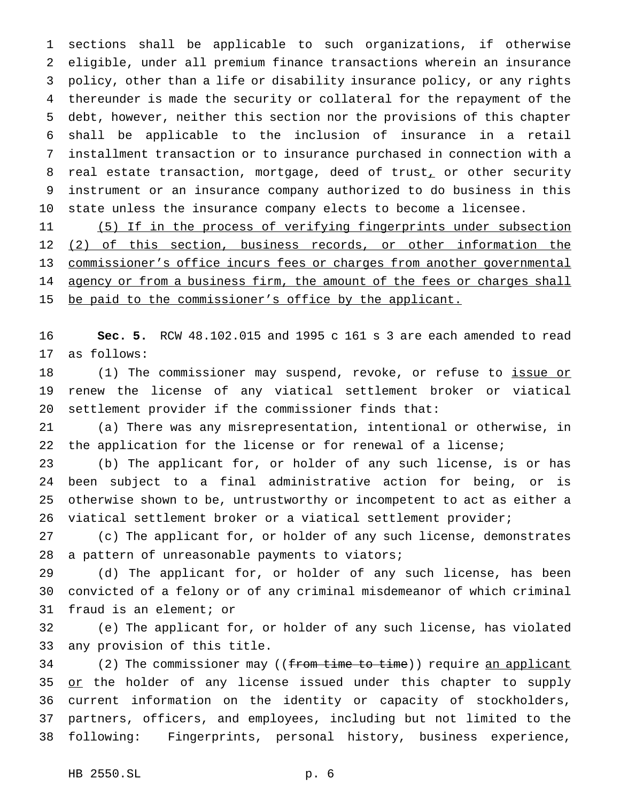sections shall be applicable to such organizations, if otherwise eligible, under all premium finance transactions wherein an insurance policy, other than a life or disability insurance policy, or any rights thereunder is made the security or collateral for the repayment of the debt, however, neither this section nor the provisions of this chapter shall be applicable to the inclusion of insurance in a retail installment transaction or to insurance purchased in connection with a 8 real estate transaction, mortgage, deed of trust, or other security instrument or an insurance company authorized to do business in this state unless the insurance company elects to become a licensee.

 (5) If in the process of verifying fingerprints under subsection 12 (2) of this section, business records, or other information the commissioner's office incurs fees or charges from another governmental 14 agency or from a business firm, the amount of the fees or charges shall 15 be paid to the commissioner's office by the applicant.

 **Sec. 5.** RCW 48.102.015 and 1995 c 161 s 3 are each amended to read as follows:

18 (1) The commissioner may suspend, revoke, or refuse to issue or renew the license of any viatical settlement broker or viatical settlement provider if the commissioner finds that:

 (a) There was any misrepresentation, intentional or otherwise, in the application for the license or for renewal of a license;

 (b) The applicant for, or holder of any such license, is or has been subject to a final administrative action for being, or is otherwise shown to be, untrustworthy or incompetent to act as either a viatical settlement broker or a viatical settlement provider;

 (c) The applicant for, or holder of any such license, demonstrates 28 a pattern of unreasonable payments to viators;

 (d) The applicant for, or holder of any such license, has been convicted of a felony or of any criminal misdemeanor of which criminal fraud is an element; or

 (e) The applicant for, or holder of any such license, has violated any provision of this title.

34 (2) The commissioner may ((from time to time)) require an applicant 35 or the holder of any license issued under this chapter to supply current information on the identity or capacity of stockholders, partners, officers, and employees, including but not limited to the following: Fingerprints, personal history, business experience,